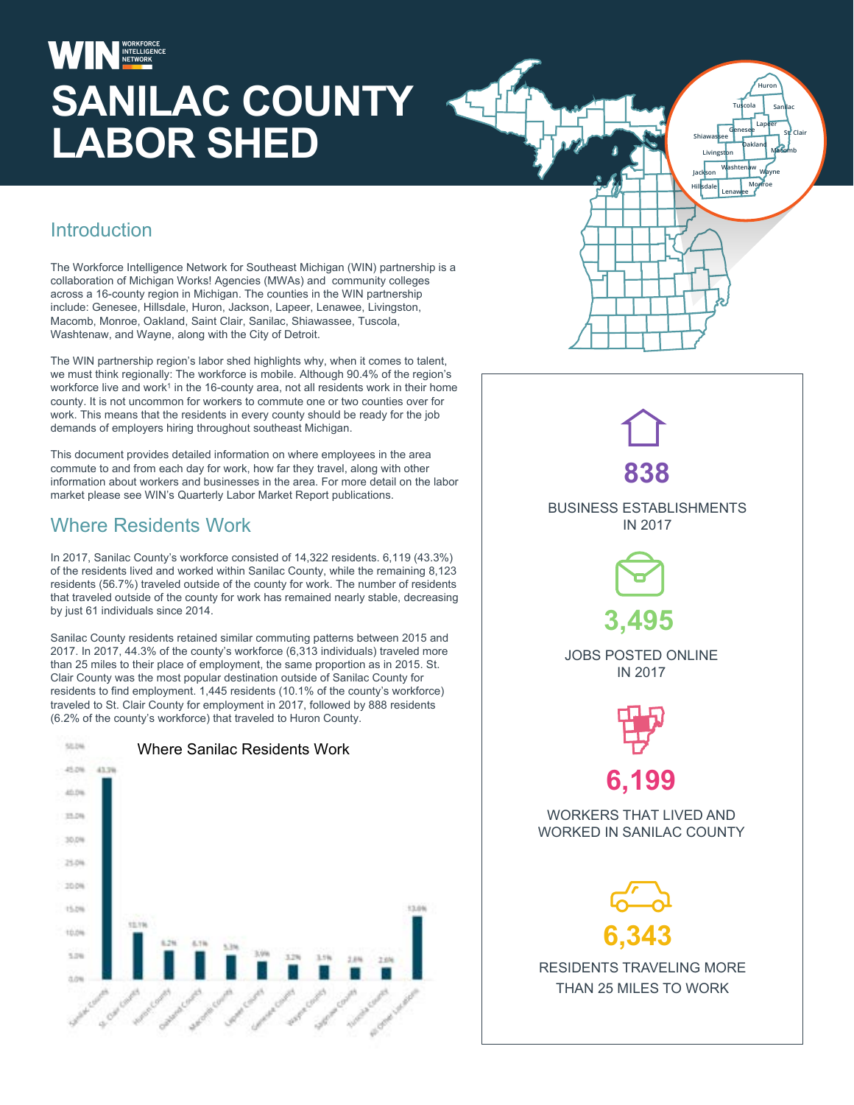# **SANILAC COUNTY LABOR SHED**

#### **Introduction**

The Workforce Intelligence Network for Southeast Michigan (WIN) partnership is a collaboration of Michigan Works! Agencies (MWAs) and community colleges across a 16-county region in Michigan. The counties in the WIN partnership include: Genesee, Hillsdale, Huron, Jackson, Lapeer, Lenawee, Livingston, Macomb, Monroe, Oakland, Saint Clair, Sanilac, Shiawassee, Tuscola, Washtenaw, and Wayne, along with the City of Detroit.

The WIN partnership region's labor shed highlights why, when it comes to talent, we must think regionally: The workforce is mobile. Although 90.4% of the region's workforce live and work<sup>1</sup> in the 16-county area, not all residents work in their home county. It is not uncommon for workers to commute one or two counties over for work. This means that the residents in every county should be ready for the job demands of employers hiring throughout southeast Michigan.

This document provides detailed information on where employees in the area commute to and from each day for work, how far they travel, along with other information about workers and businesses in the area. For more detail on the labor market please see WIN's Quarterly Labor Market Report publications.

#### Where Residents Work

In 2017, Sanilac County's workforce consisted of 14,322 residents. 6,119 (43.3%) of the residents lived and worked within Sanilac County, while the remaining 8,123 residents (56.7%) traveled outside of the county for work. The number of residents that traveled outside of the county for work has remained nearly stable, decreasing by just 61 individuals since 2014.

Sanilac County residents retained similar commuting patterns between 2015 and 2017. In 2017, 44.3% of the county's workforce (6,313 individuals) traveled more than 25 miles to their place of employment, the same proportion as in 2015. St. Clair County was the most popular destination outside of Sanilac County for residents to find employment. 1,445 residents (10.1% of the county's workforce) traveled to St. Clair County for employment in 2017, followed by 888 residents (6.2% of the county's workforce) that traveled to Huron County.





**Shiawassee Genesee St. Clair**

**Washtenaw Wayne Monroe**

**Oakland Macomb**

**Tuscola Sanilac Huron**

**Lapeer**

**Livingston**

**Jackson Hillsdale Lenawee**